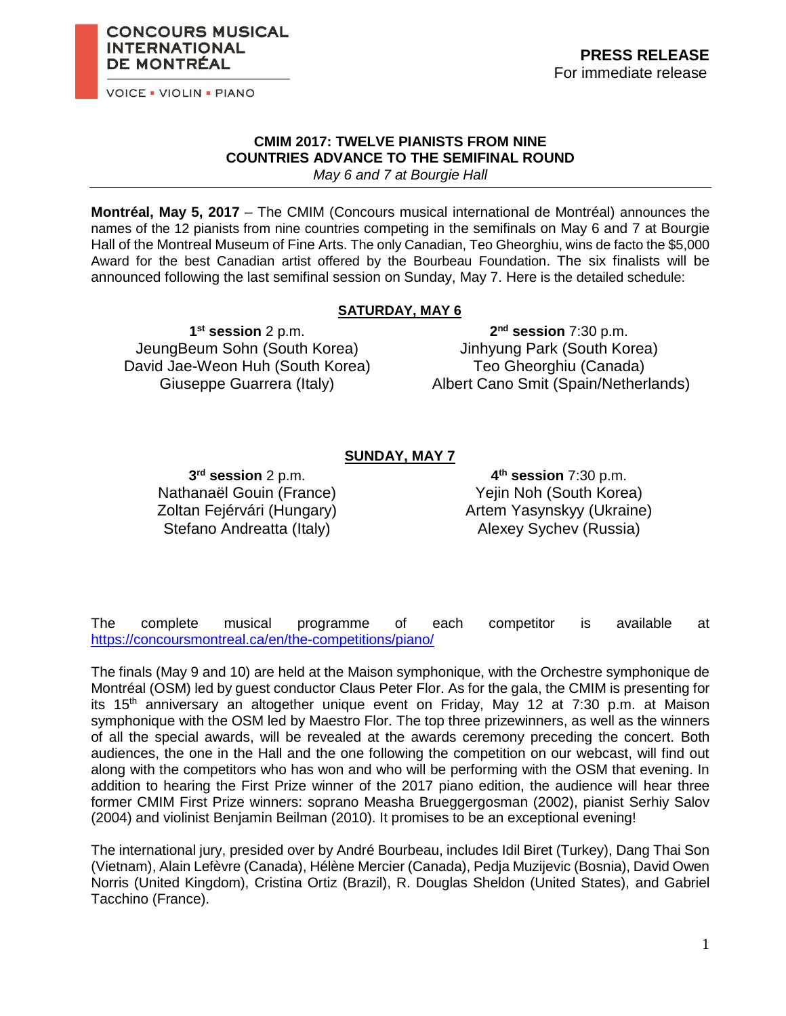

**INTERNATIONAL DE MONTRÉAL** 

**CONCOURS MUSICAL** 

#### **CMIM 2017: TWELVE PIANISTS FROM NINE COUNTRIES ADVANCE TO THE SEMIFINAL ROUND** *May 6 and 7 at Bourgie Hall*

**Montréal, May 5, 2017** – The CMIM (Concours musical international de Montréal) announces the names of the 12 pianists from nine countries competing in the semifinals on May 6 and 7 at Bourgie Hall of the Montreal Museum of Fine Arts. The only Canadian, Teo Gheorghiu, wins de facto the \$5,000 Award for the best Canadian artist offered by the Bourbeau Foundation. The six finalists will be announced following the last semifinal session on Sunday, May 7. Here is the detailed schedule:

### **SATURDAY, MAY 6**

**1 st session** 2 p.m. JeungBeum Sohn (South Korea) David Jae-Weon Huh (South Korea) Giuseppe Guarrera (Italy)

**2 nd session** 7:30 p.m. Jinhyung Park (South Korea) Teo Gheorghiu (Canada) Albert Cano Smit (Spain/Netherlands)

### **SUNDAY, MAY 7**

**3 rd session** 2 p.m. Nathanaël Gouin (France) Zoltan Fejérvári (Hungary) Stefano Andreatta (Italy)

**4 th session** 7:30 p.m. Yejin Noh (South Korea) Artem Yasynskyy (Ukraine) Alexey Sychev (Russia)

The complete musical programme of each competitor is available at <https://concoursmontreal.ca/en/the-competitions/piano/>

The finals (May 9 and 10) are held at the Maison symphonique, with the Orchestre symphonique de Montréal (OSM) led by guest conductor Claus Peter Flor. As for the gala, the CMIM is presenting for its 15<sup>th</sup> anniversary an altogether unique event on Friday, May 12 at 7:30 p.m. at Maison symphonique with the OSM led by Maestro Flor. The top three prizewinners, as well as the winners of all the special awards, will be revealed at the awards ceremony preceding the concert. Both audiences, the one in the Hall and the one following the competition on our webcast, will find out along with the competitors who has won and who will be performing with the OSM that evening. In addition to hearing the First Prize winner of the 2017 piano edition, the audience will hear three former CMIM First Prize winners: soprano Measha Brueggergosman (2002), pianist Serhiy Salov (2004) and violinist Benjamin Beilman (2010). It promises to be an exceptional evening!

The international jury, presided over by André Bourbeau, includes Idil Biret (Turkey), Dang Thai Son (Vietnam), Alain Lefèvre (Canada), Hélène Mercier (Canada), Pedja Muzijevic (Bosnia), David Owen Norris (United Kingdom), Cristina Ortiz (Brazil), R. Douglas Sheldon (United States), and Gabriel Tacchino (France).